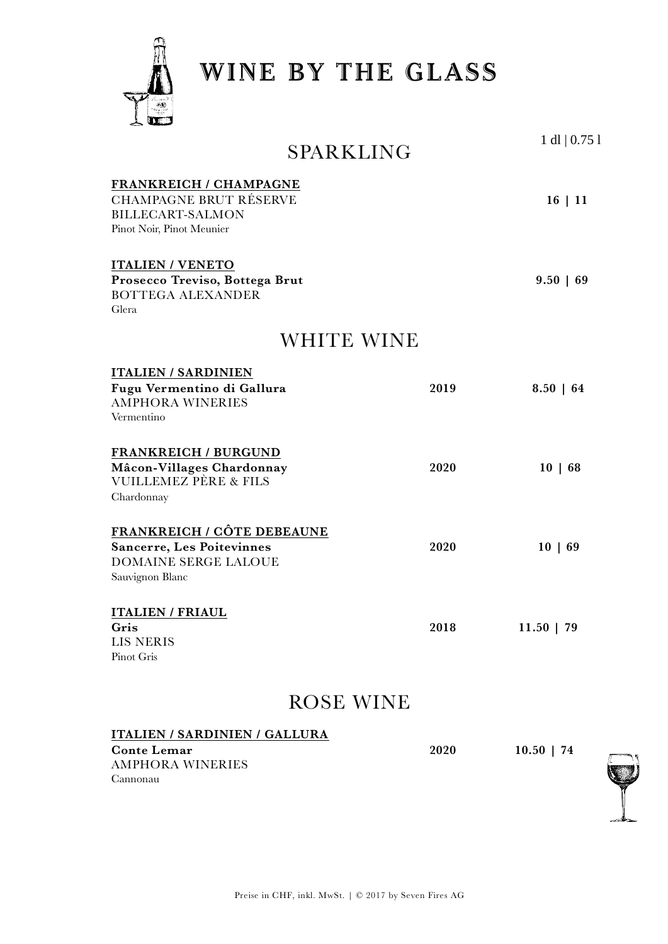

Cannonau

**WINE BY THE GLASS**

| SPARKLING                                                                                                               |      | $1$ dl $ 0.751$ |
|-------------------------------------------------------------------------------------------------------------------------|------|-----------------|
| FRANKREICH / CHAMPAGNE<br><b>CHAMPAGNE BRUT RÉSERVE</b><br><b>BILLECART-SALMON</b><br>Pinot Noir, Pinot Meunier         |      | 16 11           |
| <b>ITALIEN / VENETO</b><br>Prosecco Treviso, Bottega Brut<br><b>BOTTEGA ALEXANDER</b><br>Glera                          |      | $9.50 \mid 69$  |
| WHITE WINE                                                                                                              |      |                 |
| <b>ITALIEN / SARDINIEN</b><br>Fugu Vermentino di Gallura<br><b>AMPHORA WINERIES</b><br>Vermentino                       | 2019 | $8.50 \mid 64$  |
| <b>FRANKREICH / BURGUND</b><br>Mâcon-Villages Chardonnay<br><b>VUILLEMEZ PÈRE &amp; FILS</b><br>Chardonnay              | 2020 | 10   68         |
| <b>FRANKREICH / CÔTE DEBEAUNE</b><br><b>Sancerre, Les Poitevinnes</b><br><b>DOMAINE SERGE LALOUE</b><br>Sauvignon Blanc | 2020 | 10   69         |
| <b>ITALIEN / FRIAUL</b><br>Gris<br>LIS NERIS<br>Pinot Gris                                                              | 2018 | $11.50$   79    |
| ROSE WINE                                                                                                               |      |                 |
| <b>ITALIEN / SARDINIEN / GALLURA</b><br><b>Conte Lemar</b><br><b>AMPHORA WINERIES</b>                                   | 2020 | $10.50$   74    |

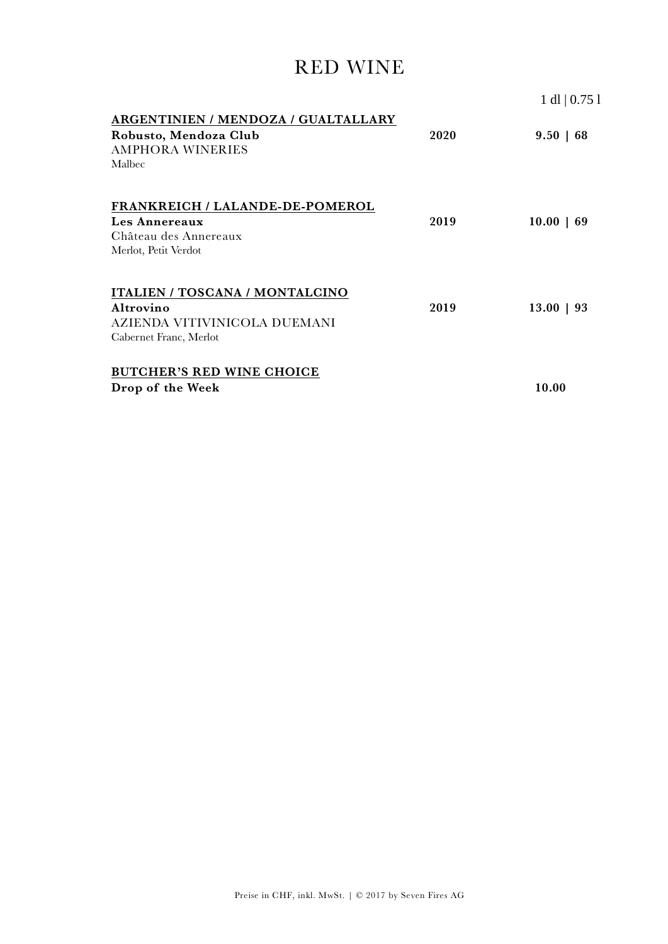# RED WINE

|                                                                                                              |      | $1 \text{ dl} \mid 0.75 \text{ l}$ |
|--------------------------------------------------------------------------------------------------------------|------|------------------------------------|
| ARGENTINIEN / MENDOZA / GUALTALLARY<br>Robusto, Mendoza Club<br><b>AMPHORA WINERIES</b><br>Malbec            | 2020 | $9.50 \mid 68$                     |
| <b>FRANKREICH / LALANDE-DE-POMEROL</b><br>Les Annereaux<br>Château des Annereaux<br>Merlot, Petit Verdot     | 2019 | $10.00 \mid 69$                    |
| <b>ITALIEN / TOSCANA / MONTALCINO</b><br>Altrovino<br>AZIENDA VITIVINICOLA DUEMANI<br>Cabernet Franc, Merlot | 2019 | $13.00$   93                       |
| <b>BUTCHER'S RED WINE CHOICE</b><br>Drop of the Week                                                         |      | 10.00                              |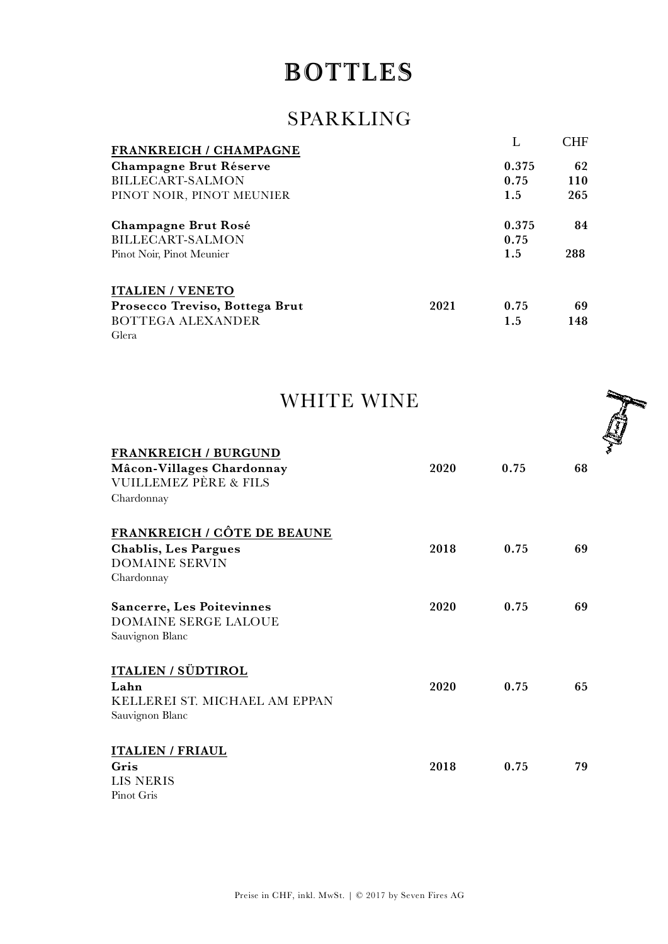# **BOTTLES**

# SPARKLING

| <b>FRANKREICH / CHAMPAGNE</b>  |      |       | CHE |
|--------------------------------|------|-------|-----|
| <b>Champagne Brut Réserve</b>  |      | 0.375 | 62  |
| BILLECART-SALMON               |      | 0.75  | 110 |
| PINOT NOIR, PINOT MEUNIER      |      | 1.5   | 265 |
| Champagne Brut Rosé            |      | 0.375 | 84  |
| <b>BILLECART-SALMON</b>        |      | 0.75  |     |
| Pinot Noir, Pinot Meunier      |      | 1.5   | 288 |
| <b>ITALIEN / VENETO</b>        |      |       |     |
| Prosecco Treviso, Bottega Brut | 2021 | 0.75  | 69  |
| BOTTEGA ALEXANDER              |      | 1.5   | 148 |
| Glera                          |      |       |     |

| <b>WHITE WINE</b> |  |
|-------------------|--|
|-------------------|--|

| <b>FRANKREICH / BURGUND</b><br>Mâcon-Villages Chardonnay<br>VUILLEMEZ PÈRE & FILS<br>Chardonnay          | 2020 | 0.75 | 68 |
|----------------------------------------------------------------------------------------------------------|------|------|----|
| <b>FRANKREICH / CÔTE DE BEAUNE</b><br><b>Chablis, Les Pargues</b><br><b>DOMAINE SERVIN</b><br>Chardonnay | 2018 | 0.75 | 69 |
| <b>Sancerre, Les Poitevinnes</b><br><b>DOMAINE SERGE LALOUE</b><br>Sauvignon Blanc                       | 2020 | 0.75 | 69 |
| ITALIEN / SÜDTIROL<br>Lahn<br>KELLEREI ST. MICHAEL AM EPPAN<br>Sauvignon Blanc                           | 2020 | 0.75 | 65 |
| <b>ITALIEN / FRIAUL</b><br>Gris<br>LIS NERIS                                                             | 2018 | 0.75 | 79 |



ģ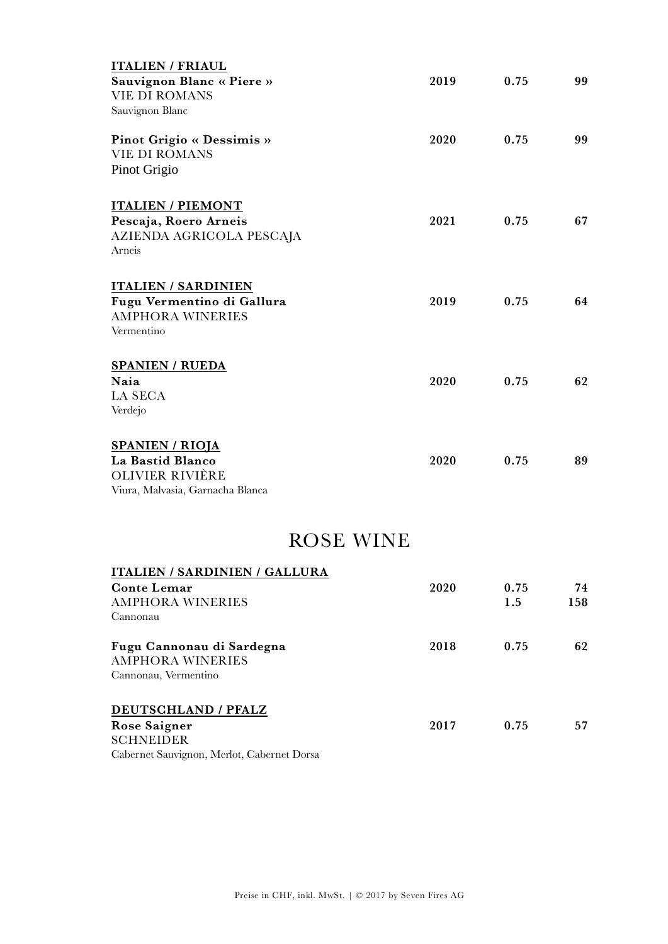| 2019 | 0.75 | 99 |
|------|------|----|
|      |      |    |
|      |      |    |
| 2020 | 0.75 | 99 |
|      |      |    |
|      |      |    |
|      |      |    |
| 2021 | 0.75 | 67 |
|      |      |    |
|      |      |    |
|      |      |    |
| 2019 | 0.75 | 64 |
|      |      |    |
|      |      |    |
|      |      |    |
| 2020 | 0.75 | 62 |
|      |      |    |
|      |      |    |
|      |      |    |
| 2020 | 0.75 | 89 |
|      |      |    |
|      |      |    |
|      |      |    |
|      |      |    |

# ROSE WINE

| <b>ITALIEN / SARDINIEN / GALLURA</b>                                         |      |      |     |
|------------------------------------------------------------------------------|------|------|-----|
| <b>Conte Lemar</b>                                                           | 2020 | 0.75 | 74  |
| <b>AMPHORA WINERIES</b>                                                      |      | 1.5  | 158 |
| Cannonau                                                                     |      |      |     |
| Fugu Cannonau di Sardegna<br><b>AMPHORA WINERIES</b>                         | 2018 | 0.75 | 62  |
| Cannonau, Vermentino                                                         |      |      |     |
| DEUTSCHLAND / PFALZ                                                          |      |      |     |
| Rose Saigner                                                                 | 2017 | 0.75 | 57  |
| <b>SCHNEIDER</b>                                                             |      |      |     |
| $\sim$ $\sim$ $\sim$ $\sim$ $\sim$<br>$\mathbf{M}$ $\mathbf{N}$ $\mathbf{N}$ |      |      |     |

Cabernet Sauvignon, Merlot, Cabernet Dorsa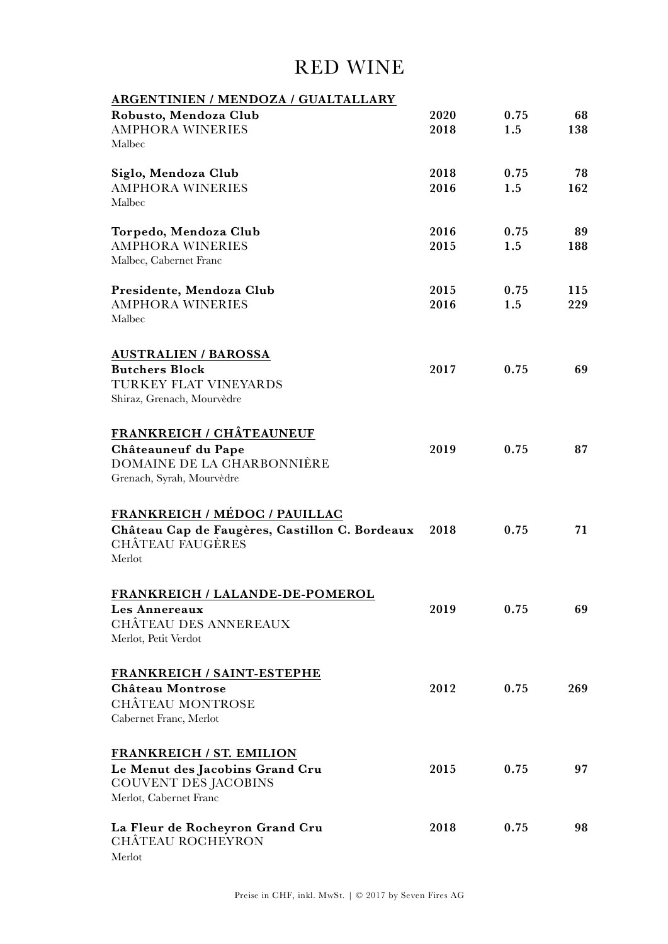# RED WINE

| ARGENTINIEN / MENDOZA / GUALTALLARY                                                                                         |              |             |            |
|-----------------------------------------------------------------------------------------------------------------------------|--------------|-------------|------------|
| Robusto, Mendoza Club<br><b>AMPHORA WINERIES</b><br>Malbec                                                                  | 2020<br>2018 | 0.75<br>1.5 | 68<br>138  |
| Siglo, Mendoza Club<br><b>AMPHORA WINERIES</b><br>Malbec                                                                    | 2018<br>2016 | 0.75<br>1.5 | 78<br>162  |
| Torpedo, Mendoza Club<br><b>AMPHORA WINERIES</b><br>Malbec, Cabernet Franc                                                  | 2016<br>2015 | 0.75<br>1.5 | 89<br>188  |
| Presidente, Mendoza Club<br><b>AMPHORA WINERIES</b><br>Malbec                                                               | 2015<br>2016 | 0.75<br>1.5 | 115<br>229 |
| <b>AUSTRALIEN / BAROSSA</b><br><b>Butchers Block</b><br>TURKEY FLAT VINEYARDS<br>Shiraz, Grenach, Mourvèdre                 | 2017         | 0.75        | 69         |
| FRANKREICH / CHÂTEAUNEUF<br>Châteauneuf du Pape<br>DOMAINE DE LA CHARBONNIÈRE<br>Grenach, Syrah, Mourvèdre                  | 2019         | 0.75        | 87         |
| FRANKREICH / MÉDOC / PAUILLAC<br>Château Cap de Faugères, Castillon C. Bordeaux<br><b>CHÂTEAU FAUGÈRES</b><br>Merlot        | 2018         | 0.75        | 71         |
| FRANKREICH / LALANDE-DE-POMEROL<br>Les Annereaux<br><b>CHÂTEAU DES ANNEREAUX</b><br>Merlot, Petit Verdot                    | 2019         | 0.75        | 69         |
| FRANKREICH / SAINT-ESTEPHE<br>Château Montrose<br><b>CHÂTEAU MONTROSE</b><br>Cabernet Franc, Merlot                         | 2012         | 0.75        | 269        |
| <b>FRANKREICH / ST. EMILION</b><br>Le Menut des Jacobins Grand Cru<br><b>COUVENT DES JACOBINS</b><br>Merlot, Cabernet Franc | 2015         | 0.75        | 97         |
| La Fleur de Rocheyron Grand Cru<br><b>CHÂTEAU ROCHEYRON</b><br>Merlot                                                       | 2018         | 0.75        | 98         |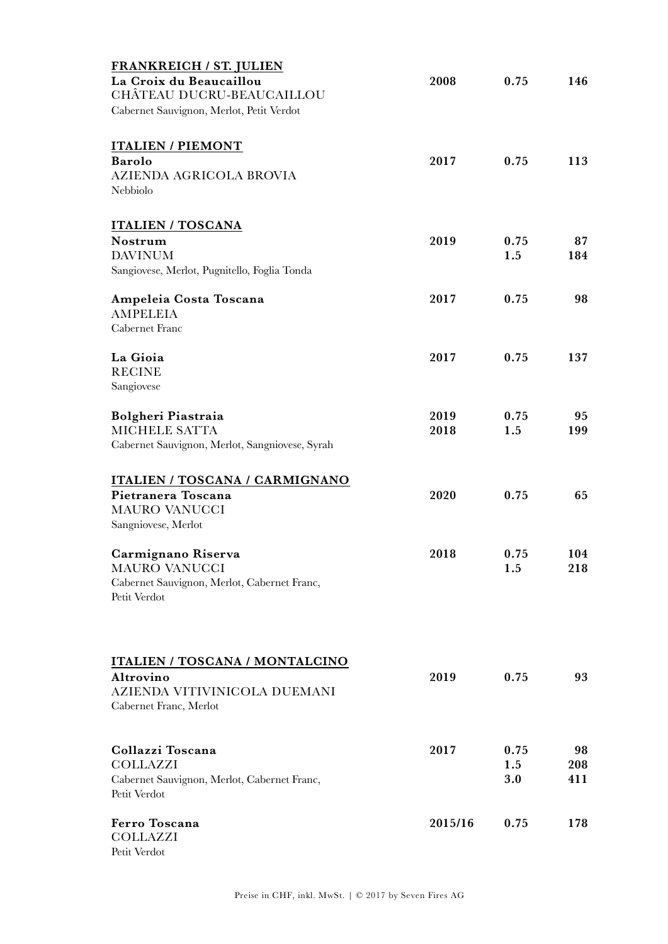| <b>FRANKREICH / ST. JULIEN</b>                 |         |      |     |
|------------------------------------------------|---------|------|-----|
| La Croix du Beaucaillou                        | 2008    | 0.75 | 146 |
| CHÂTEAU DUCRU-BEAUCAILLOU                      |         |      |     |
| Cabernet Sauvignon, Merlot, Petit Verdot       |         |      |     |
| <b>ITALIEN / PIEMONT</b>                       |         |      |     |
| <b>Barolo</b>                                  | 2017    | 0.75 | 113 |
| <b>AZIENDA AGRICOLA BROVIA</b>                 |         |      |     |
| Nebbiolo                                       |         |      |     |
| <b>ITALIEN / TOSCANA</b>                       |         |      |     |
| Nostrum                                        | 2019    | 0.75 | 87  |
| <b>DAVINUM</b>                                 |         | 1.5  | 184 |
| Sangiovese, Merlot, Pugnitello, Foglia Tonda   |         |      |     |
| Ampeleia Costa Toscana                         | 2017    | 0.75 | 98  |
| <b>AMPELEIA</b>                                |         |      |     |
| Cabernet Franc                                 |         |      |     |
| La Gioia                                       | 2017    | 0.75 | 137 |
| <b>RECINE</b>                                  |         |      |     |
| Sangiovese                                     |         |      |     |
| Bolgheri Piastraia                             | 2019    | 0.75 | 95  |
| MICHELE SATTA                                  | 2018    | 1.5  | 199 |
| Cabernet Sauvignon, Merlot, Sangniovese, Syrah |         |      |     |
| <b>ITALIEN / TOSCANA / CARMIGNANO</b>          |         |      |     |
| Pietranera Toscana                             | 2020    | 0.75 | 65  |
| <b>MAURO VANUCCI</b>                           |         |      |     |
| Sangniovese, Merlot                            |         |      |     |
| Carmignano Riserva                             | 2018    | 0.75 | 104 |
| <b>MAURO VANUCCI</b>                           |         | 1.5  | 218 |
| Cabernet Sauvignon, Merlot, Cabernet Franc,    |         |      |     |
| Petit Verdot                                   |         |      |     |
|                                                |         |      |     |
| <b>ITALIEN / TOSCANA / MONTALCINO</b>          |         |      |     |
| Altrovino                                      | 2019    | 0.75 | 93  |
| AZIENDA VITIVINICOLA DUEMANI                   |         |      |     |
| Cabernet Franc, Merlot                         |         |      |     |
|                                                |         |      |     |
| Collazzi Toscana                               | 2017    | 0.75 | 98  |
| <b>COLLAZZI</b>                                |         | 1.5  | 208 |
| Cabernet Sauvignon, Merlot, Cabernet Franc,    |         | 3.0  | 411 |
| Petit Verdot                                   |         |      |     |
| Ferro Toscana                                  | 2015/16 | 0.75 | 178 |
| <b>COLLAZZI</b>                                |         |      |     |
| Petit Verdot                                   |         |      |     |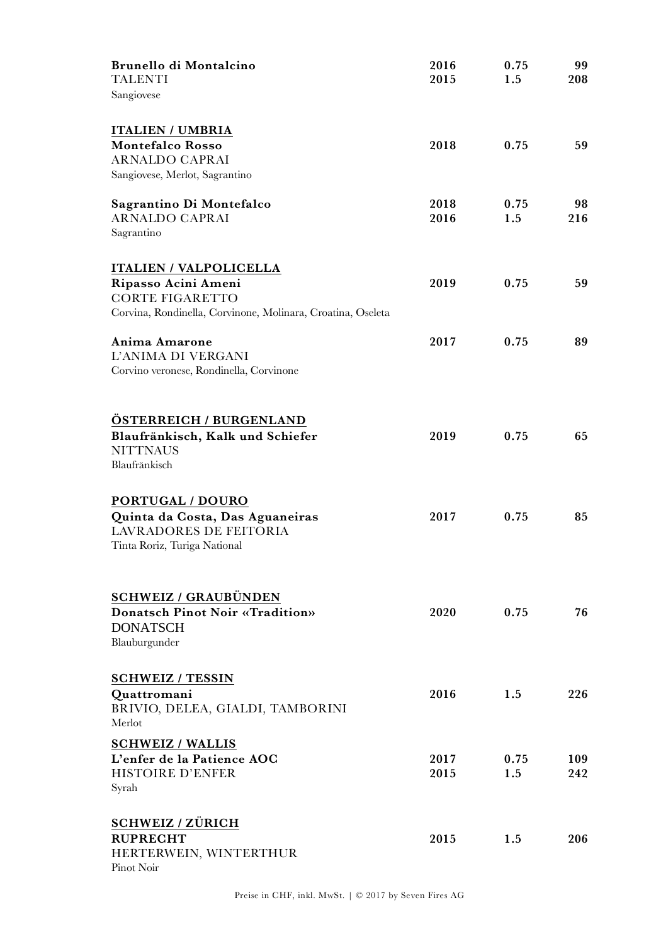| Brunello di Montalcino<br><b>TALENTI</b>                                              | 2016<br>2015 | 0.75<br>1.5 | 99<br>208 |
|---------------------------------------------------------------------------------------|--------------|-------------|-----------|
| Sangiovese                                                                            |              |             |           |
|                                                                                       |              |             |           |
| <b>ITALIEN / UMBRIA</b>                                                               |              |             |           |
| <b>Montefalco Rosso</b><br><b>ARNALDO CAPRAI</b>                                      | 2018         | 0.75        | 59        |
| Sangiovese, Merlot, Sagrantino                                                        |              |             |           |
|                                                                                       | 2018         | 0.75        | 98        |
| Sagrantino Di Montefalco<br><b>ARNALDO CAPRAI</b>                                     | 2016         | 1.5         | 216       |
| Sagrantino                                                                            |              |             |           |
|                                                                                       |              |             |           |
| <b>ITALIEN / VALPOLICELLA</b>                                                         |              |             |           |
| Ripasso Acini Ameni                                                                   | 2019         | 0.75        | 59        |
| <b>CORTE FIGARETTO</b><br>Corvina, Rondinella, Corvinone, Molinara, Croatina, Oseleta |              |             |           |
|                                                                                       |              |             |           |
| Anima Amarone                                                                         | 2017         | 0.75        | 89        |
| L'ANIMA DI VERGANI                                                                    |              |             |           |
| Corvino veronese, Rondinella, Corvinone                                               |              |             |           |
|                                                                                       |              |             |           |
| <b>ÖSTERREICH / BURGENLAND</b>                                                        |              |             |           |
| Blaufränkisch, Kalk und Schiefer                                                      | 2019         | 0.75        | 65        |
| <b>NITTNAUS</b>                                                                       |              |             |           |
| Blaufränkisch                                                                         |              |             |           |
|                                                                                       |              |             |           |
| PORTUGAL / DOURO                                                                      |              |             |           |
| Quinta da Costa, Das Aguaneiras                                                       | 2017         | 0.75        | 85        |
| LAVRADORES DE FEITORIA<br>Tinta Roriz, Turiga National                                |              |             |           |
|                                                                                       |              |             |           |
|                                                                                       |              |             |           |
| <b>SCHWEIZ / GRAUBÜNDEN</b>                                                           |              |             |           |
| <b>Donatsch Pinot Noir «Tradition»</b>                                                | 2020         | 0.75        | 76        |
| <b>DONATSCH</b>                                                                       |              |             |           |
| Blauburgunder                                                                         |              |             |           |
|                                                                                       |              |             |           |
| <b>SCHWEIZ / TESSIN</b>                                                               | 2016         | 1.5         | 226       |
| Quattromani<br>BRIVIO, DELEA, GIALDI, TAMBORINI                                       |              |             |           |
| Merlot                                                                                |              |             |           |
| <b>SCHWEIZ / WALLIS</b>                                                               |              |             |           |
| L'enfer de la Patience AOC                                                            | 2017         | 0.75        | 109       |
| <b>HISTOIRE D'ENFER</b>                                                               | 2015         | 1.5         | 242       |
| Syrah                                                                                 |              |             |           |
|                                                                                       |              |             |           |
| <b>SCHWEIZ / ZÜRICH</b><br><b>RUPRECHT</b>                                            | 2015         | 1.5         | 206       |
| HERTERWEIN, WINTERTHUR                                                                |              |             |           |
| Pinot Noir                                                                            |              |             |           |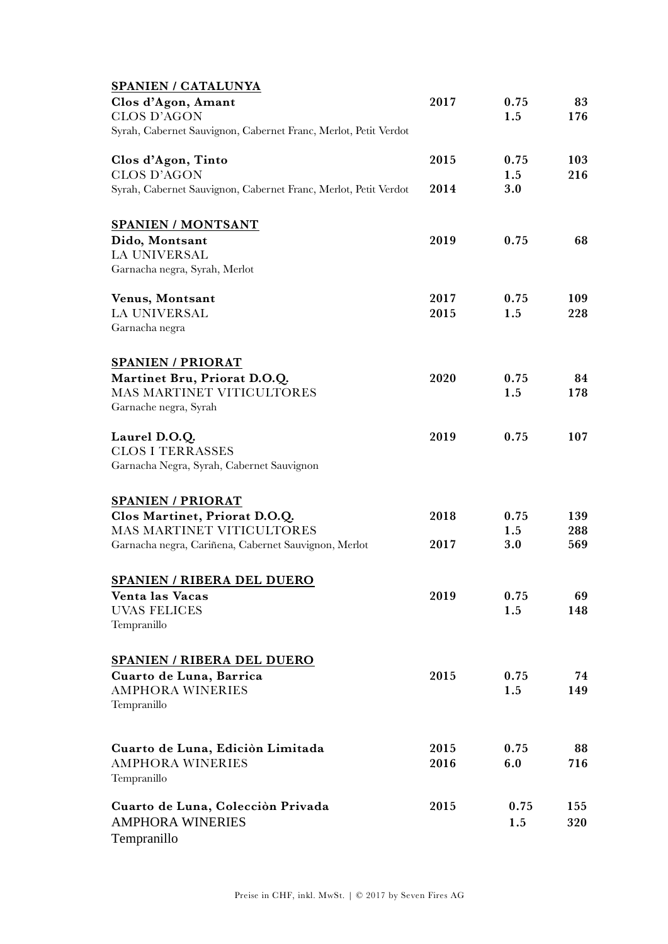| SPANIEN / CATALUNYA                                             |      |      |     |
|-----------------------------------------------------------------|------|------|-----|
| Clos d'Agon, Amant                                              | 2017 | 0.75 | 83  |
| <b>CLOS D'AGON</b>                                              |      | 1.5  | 176 |
| Syrah, Cabernet Sauvignon, Cabernet Franc, Merlot, Petit Verdot |      |      |     |
| Clos d'Agon, Tinto                                              | 2015 | 0.75 | 103 |
| <b>CLOS D'AGON</b>                                              |      | 1.5  | 216 |
| Syrah, Cabernet Sauvignon, Cabernet Franc, Merlot, Petit Verdot | 2014 | 3.0  |     |
| <b>SPANIEN / MONTSANT</b>                                       |      |      |     |
| Dido, Montsant                                                  | 2019 | 0.75 | 68  |
| <b>LA UNIVERSAL</b>                                             |      |      |     |
| Garnacha negra, Syrah, Merlot                                   |      |      |     |
| Venus, Montsant                                                 | 2017 | 0.75 | 109 |
| <b>LA UNIVERSAL</b>                                             | 2015 | 1.5  | 228 |
| Garnacha negra                                                  |      |      |     |
| <b>SPANIEN / PRIORAT</b>                                        |      |      |     |
| Martinet Bru, Priorat D.O.Q.                                    | 2020 | 0.75 | 84  |
| MAS MARTINET VITICULTORES                                       |      | 1.5  | 178 |
| Garnache negra, Syrah                                           |      |      |     |
| Laurel D.O.Q.                                                   | 2019 | 0.75 | 107 |
| <b>CLOS I TERRASSES</b>                                         |      |      |     |
| Garnacha Negra, Syrah, Cabernet Sauvignon                       |      |      |     |
| <b>SPANIEN / PRIORAT</b>                                        |      |      |     |
| Clos Martinet, Priorat D.O.Q.                                   | 2018 | 0.75 | 139 |
| <b>MAS MARTINET VITICULTORES</b>                                |      | 1.5  | 288 |
| Garnacha negra, Cariñena, Cabernet Sauvignon, Merlot            | 2017 | 3.0  | 569 |
| <b>SPANIEN / RIBERA DEL DUERO</b>                               |      |      |     |
| Venta las Vacas                                                 | 2019 | 0.75 | 69  |
| <b>UVAS FELICES</b>                                             |      | 1.5  | 148 |
| Tempranillo                                                     |      |      |     |
| <b>SPANIEN / RIBERA DEL DUERO</b>                               |      |      |     |
| Cuarto de Luna, Barrica                                         | 2015 | 0.75 | 74  |
| <b>AMPHORA WINERIES</b>                                         |      | 1.5  | 149 |
| Tempranillo                                                     |      |      |     |
|                                                                 |      |      |     |
| Cuarto de Luna, Edición Limitada                                | 2015 | 0.75 | 88  |
| <b>AMPHORA WINERIES</b>                                         | 2016 | 6.0  | 716 |
| Tempranillo                                                     |      |      |     |
| Cuarto de Luna, Colección Privada                               | 2015 | 0.75 | 155 |
| <b>AMPHORA WINERIES</b>                                         |      | 1.5  | 320 |
| Tempranillo                                                     |      |      |     |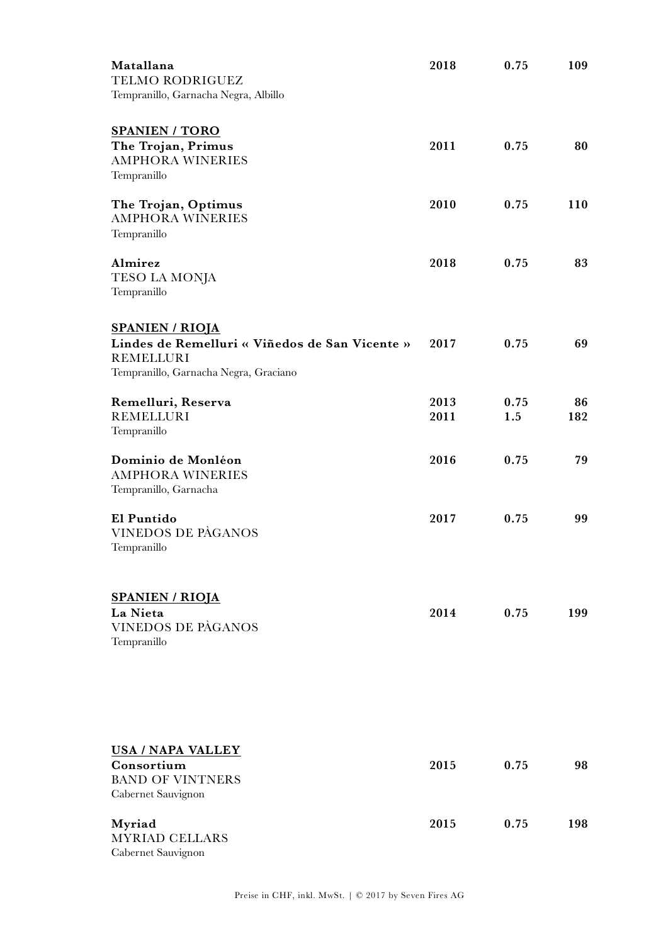| Matallana<br>TELMO RODRIGUEZ<br>Tempranillo, Garnacha Negra, Albillo                                                                  | 2018         | 0.75        | 109       |
|---------------------------------------------------------------------------------------------------------------------------------------|--------------|-------------|-----------|
| <b>SPANIEN / TORO</b><br>The Trojan, Primus<br><b>AMPHORA WINERIES</b><br>Tempranillo                                                 | 2011         | 0.75        | 80        |
| The Trojan, Optimus<br><b>AMPHORA WINERIES</b><br>Tempranillo                                                                         | 2010         | 0.75        | 110       |
| Almirez<br>TESO LA MONJA<br>Tempranillo                                                                                               | 2018         | 0.75        | 83        |
| <b>SPANIEN / RIOJA</b><br>Lindes de Remelluri « Viñedos de San Vicente »<br><b>REMELLURI</b><br>Tempranillo, Garnacha Negra, Graciano | 2017         | 0.75        | 69        |
| Remelluri, Reserva<br><b>REMELLURI</b><br>Tempranillo                                                                                 | 2013<br>2011 | 0.75<br>1.5 | 86<br>182 |
| Dominio de Monléon<br><b>AMPHORA WINERIES</b><br>Tempranillo, Garnacha                                                                | 2016         | 0.75        | 79        |
| El Puntido<br><b>VINEDOS DE PÀGANOS</b><br>Tempranillo                                                                                | 2017         | 0.75        | 99        |
| <b>SPANIEN / RIOJA</b><br>La Nieta<br>VINEDOS DE PÀGANOS<br>Tempranillo                                                               | 2014         | 0.75        | 199       |
| <b>USA / NAPA VALLEY</b><br>Consortium<br><b>BAND OF VINTNERS</b><br>Cabernet Sauvignon                                               | 2015         | 0.75        | 98        |
| Myriad<br><b>MYRIAD CELLARS</b><br>Cabernet Sauvignon                                                                                 | 2015         | 0.75        | 198       |